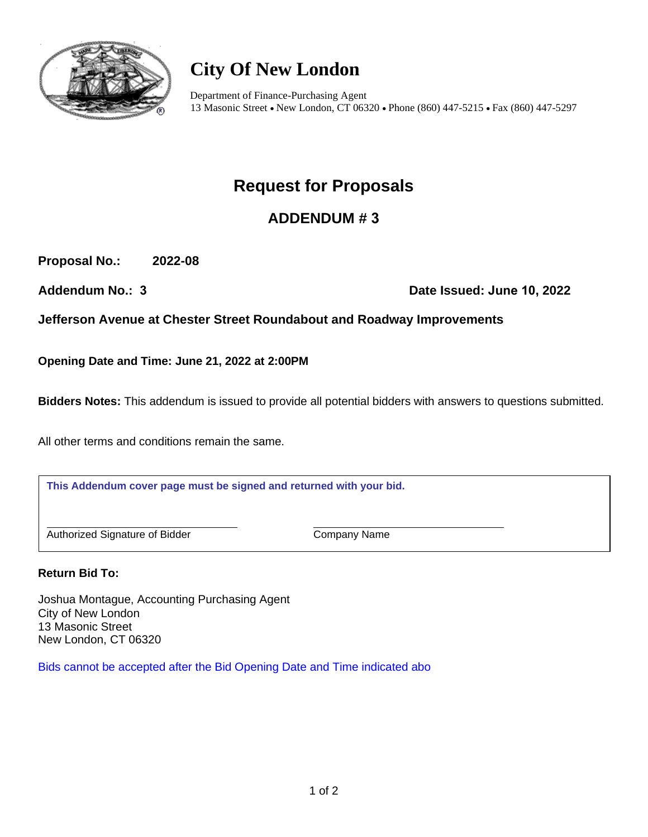

# **City Of New London**

Department of Finance-Purchasing Agent 13 Masonic Street • New London, CT 06320 • Phone (860) 447-5215 • Fax (860) 447-5297

## **Request for Proposals**

## **ADDENDUM # 3**

**Proposal No.: 2022-08**

**Addendum No.: 3 Date Issued: June 10, 2022** 

**Jefferson Avenue at Chester Street Roundabout and Roadway Improvements**

**Opening Date and Time: June 21, 2022 at 2:00PM**

**Bidders Notes:** This addendum is issued to provide all potential bidders with answers to questions submitted.

All other terms and conditions remain the same.

**This Addendum cover page must be signed and returned with your bid.**

Authorized Signature of Bidder Company Name

**Return Bid To:**

Joshua Montague, Accounting Purchasing Agent City of New London 13 Masonic Street New London, CT 06320

Bids cannot be accepted after the Bid Opening Date and Time indicated abo